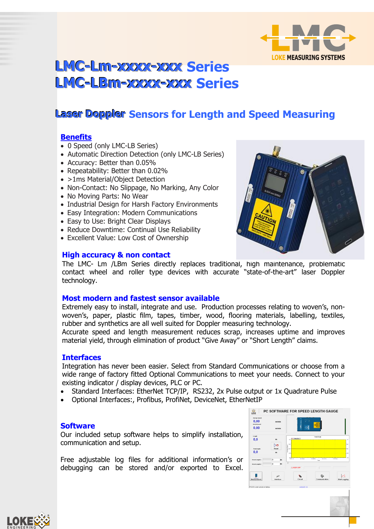

# **LMC-Lm-xxxx-xxx Series LMC-LBm-xxxx-xxx Series**

# **Laser Doppler Sensors for Length and Speed Measuring**

## **Benefits**

- 0 Speed (only LMC-LB Series)
- Automatic Direction Detection (only LMC-LB Series)
- Accuracy: Better than 0.05%
- Repeatability: Better than 0.02%
- >1ms Material/Object Detection
- Non-Contact: No Slippage, No Marking, Any Color
- No Moving Parts: No Wear
- Industrial Design for Harsh Factory Environments
- Easy Integration: Modern Communications
- Easy to Use: Bright Clear Displays
- Reduce Downtime: Continual Use Reliability
- Excellent Value: Low Cost of Ownership

#### **High accuracy & non contact**

The LMC- Lm /LBm Series directly replaces traditional, high maintenance, problematic contact wheel and roller type devices with accurate "state-of-the-art" laser Doppler technology.

#### **Most modern and fastest sensor available**

Extremely easy to install, integrate and use. Production processes relating to woven's, nonwoven's, paper, plastic film, tapes, timber, wood, flooring materials, labelling, textiles, rubber and synthetics are all well suited for Doppler measuring technology.

Accurate speed and length measurement reduces scrap, increases uptime and improves material yield, through elimination of product "Give Away" or "Short Length" claims.

#### **Interfaces**

Integration has never been easier. Select from Standard Communications or choose from a wide range of factory fitted Optional Communications to meet your needs. Connect to your existing indicator / display devices, PLC or PC.

- Standard Interfaces: EtherNet TCP/IP, RS232, 2x Pulse output or 1x Quadrature Pulse
- Optional Interfaces:, Profibus, ProfiNet, DeviceNet, EtherNetIP

#### **Software**

Our included setup software helps to simplify installation, communication and setup.

Free adjustable log files for additional information's or debugging can be stored and/or exported to Excel.